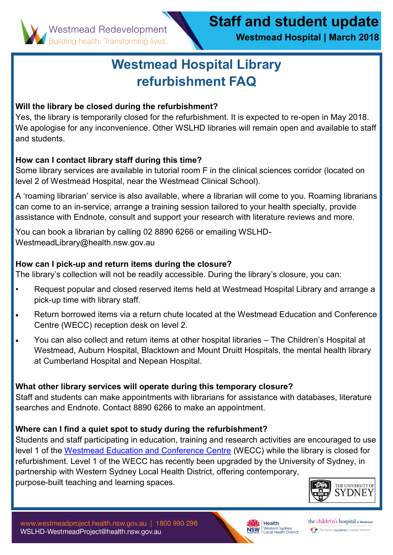**Westmead Hospital | March 2018**

# **Westmead Hospital Library refurbishment FAQ**

## **Will the library be closed during the refurbishment?**

Yes, the library is temporarily closed for the refurbishment. It is expected to re-open in May 2018. We apologise for any inconvenience. Other WSLHD libraries will remain open and available to staff and students.

## **How can I contact library staff during this time?**

Some library services are available in tutorial room F in the clinical sciences corridor (located on level 2 of Westmead Hospital, near the Westmead Clinical School).

A 'roaming librarian' service is also available, where a librarian will come to you. Roaming librarians can come to an in-service, arrange a training session tailored to your health specialty, provide assistance with Endnote, consult and support your research with literature reviews and more.

You can book a librarian by calling 02 8890 6266 or emailing WSLHD-WestmeadLibrary@health.nsw.gov.au

### **How can I pick-up and return items during the closure?**

The library's collection will not be readily accessible. During the library's closure, you can:

- Request popular and closed reserved items held at Westmead Hospital Library and arrange a pick-up time with library staff.
- Return borrowed items via a return chute located at the Westmead Education and Conference Centre (WECC) reception desk on level 2.
- You can also collect and return items at other hospital libraries The Children's Hospital at Westmead, Auburn Hospital, Blacktown and Mount Druitt Hospitals, the mental health library at Cumberland Hospital and Nepean Hospital.

## **What other library services will operate during this temporary closure?**

Staff and students can make appointments with librarians for assistance with databases, literature searches and Endnote. Contact 8890 6266 to make an appointment.

#### **Where can I find a quiet spot to study during the refurbishment?**

Students and staff participating in education, training and research activities are encouraged to use level 1 of the [Westmead Education and Conference Centre](http://www.wslhd.health.nsw.gov.au/Westmead-Education-and-Conference-Centre/Westmead-Education-and-Conference-Centre) (WECC) while the library is closed for refurbishment. Level 1 of the WECC has recently been upgraded by the University of Sydney, in partnership with Western Sydney Local Health District, offering contemporary, purpose-built teaching and learning spaces.





the children's hospital at Westmead The Sydney children's Hospitals Network